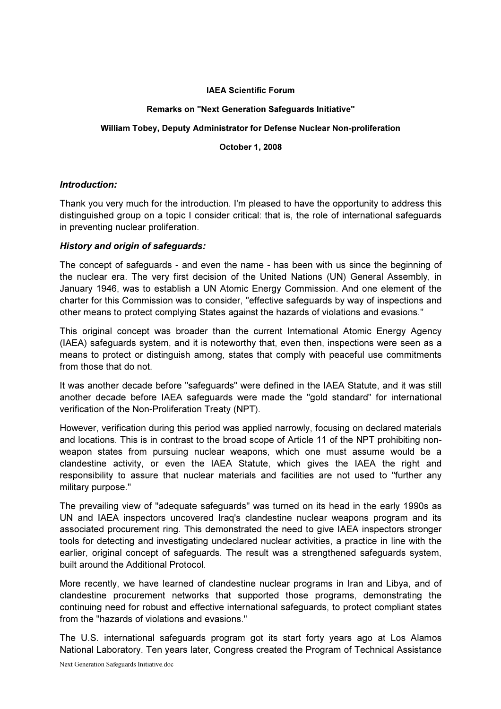#### IAEA Scientific Forum

#### Remarks on "Next Generation Safeguards Initiative"

# William Tobey, Deputy Administrator for Defense Nuclear Non-proliferation

#### October 1, 2008

# Introduction:

Thank you very much for the introduction. I'm pleased to have the opportunity to address this distinguished group on a topic I consider critical: that is, the role of international safeguards in preventing nuclear proliferation.

# History and origin of safeguards:

The concept of safeguards - and even the name - has been with us since the beginning of the nuclear era. The very first decision of the United Nations (UN) General Assembly, in January 1946, was to establish a UN Atomic Energy Commission. And one element of the charter for this Commission was to consider, "effective safeguards by way of inspections and other means to protect complying States against the hazards of violations and evasions."

This original concept was broader than the current International Atomic Energy Agency (IAEA) safeguards system, and it is noteworthy that, even then, inspections were seen as a means to protect or distinguish among, states that comply with peaceful use commitments from those that do not.

It was another decade before "safeguards" were defined in the IAEA Statute, and it was still another decade before IAEA safeguards were made the "gold standard" for international verification of the Non-Proliferation Treaty (NPT).

However, verification during this period was applied narrowly, focusing on declared materials and locations. This is in contrast to the broad scope of Article 11 of the NPT prohibiting nonweapon states from pursuing nuclear weapons, which one must assume would be a clandestine activity, or even the IAEA Statute, which gives the IAEA the right and responsibility to assure that nuclear materials and facilities are not used to "further any military purpose."

The prevailing view of "adequate safeguards" was turned on its head in the early 1990s as UN and IAEA inspectors uncovered Iraq's clandestine nuclear weapons program and its associated procurement ring. This demonstrated the need to give IAEA inspectors stronger tools for detecting and investigating undeclared nuclear activities, a practice in line with the earlier, original concept of safeguards. The result was a strengthened safeguards system, built around the Additional Protocol.

More recently, we have learned of clandestine nuclear programs in Iran and Libya, and of clandestine procurement networks that supported those programs, demonstrating the continuing need for robust and effective international safeguards, to protect compliant states from the "hazards of violations and evasions."

The U.S. international safeguards program got its start forty years ago at Los Alamos National Laboratory. Ten years later, Congress created the Program of Technical Assistance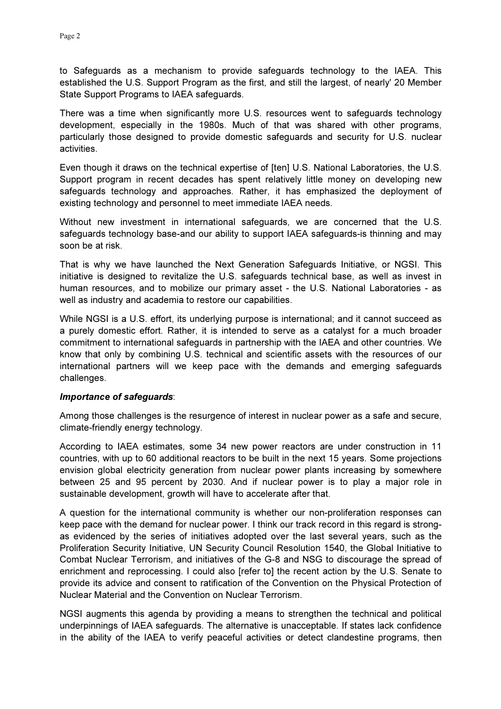to Safeguards as a mechanism to provide safeguards technology to the IAEA. This established the U.S. Support Program as the first, and still the largest, of nearly' 20 Member State Support Programs to IAEA safeguards.

There was a time when significantly more U.S. resources went to safeguards technology development, especially in the 1980s. Much of that was shared with other programs, particularly those designed to provide domestic safeguards and security for U.S. nuclear activities.

Even though it draws on the technical expertise of [ten] U.S. National Laboratories, the U.S. Support program in recent decades has spent relatively little money on developing new safeguards technology and approaches. Rather, it has emphasized the deployment of existing technology and personnel to meet immediate IAEA needs.

Without new investment in international safeguards, we are concerned that the U.S. safeguards technology base-and our ability to support IAEA safeguards-is thinning and may soon be at risk.

That is why we have launched the Next Generation Safeguards Initiative, or NGSI. This initiative is designed to revitalize the U.S. safeguards technical base, as well as invest in human resources, and to mobilize our primary asset - the U.S. National Laboratories - as well as industry and academia to restore our capabilities.

While NGSI is a U.S. effort, its underlying purpose is international; and it cannot succeed as a purely domestic effort. Rather, it is intended to serve as a catalyst for a much broader commitment to international safeguards in partnership with the IAEA and other countries. We know that only by combining U.S. technical and scientific assets with the resources of our international partners will we keep pace with the demands and emerging safeguards challenges.

#### Importance of safeguards:

Among those challenges is the resurgence of interest in nuclear power as a safe and secure, climate-friendly energy technology.

According to IAEA estimates, some 34 new power reactors are under construction in 11 countries, with up to 60 additional reactors to be built in the next 15 years. Some projections envision global electricity generation from nuclear power plants increasing by somewhere between 25 and 95 percent by 2030. And if nuclear power is to play a major role in sustainable development, growth will have to accelerate after that.

A question for the international community is whether our non-proliferation responses can keep pace with the demand for nuclear power. I think our track record in this regard is strongas evidenced by the series of initiatives adopted over the last several years, such as the Proliferation Security Initiative, UN Security Council Resolution 1540, the Global Initiative to Combat Nuclear Terrorism, and initiatives of the G-8 and NSG to discourage the spread of enrichment and reprocessing. I could also [refer to] the recent action by the U.S. Senate to provide its advice and consent to ratification of the Convention on the Physical Protection of Nuclear Material and the Convention on Nuclear Terrorism.

NGSI augments this agenda by providing a means to strengthen the technical and political underpinnings of IAEA safeguards. The alternative is unacceptable. If states lack confidence in the ability of the IAEA to verify peaceful activities or detect clandestine programs, then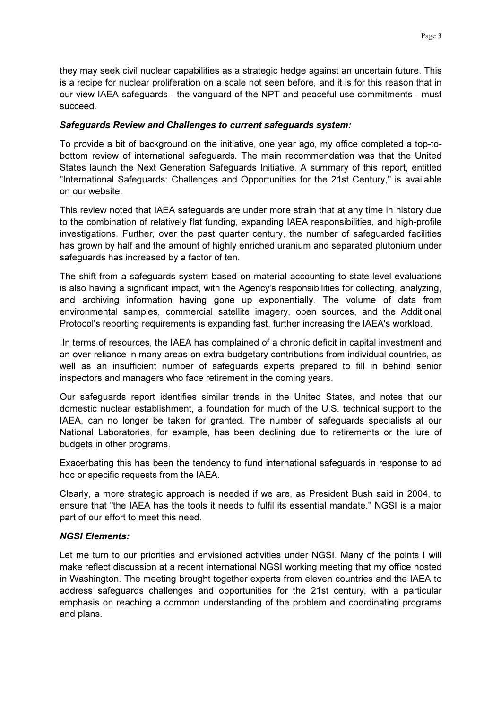they may seek civil nuclear capabilities as a strategic hedge against an uncertain future. This is a recipe for nuclear proliferation on a scale not seen before, and it is for this reason that in our view IAEA safeguards - the vanguard of the NPT and peaceful use commitments - must succeed.

# Safeguards Review and Challenges to current safeguards system:

To provide a bit of background on the initiative, one year ago, my office completed a top-tobottom review of international safeguards. The main recommendation was that the United States launch the Next Generation Safeguards Initiative. A summary of this report, entitled "International Safeguards: Challenges and Opportunities for the 21st Century," is available on our website.

This review noted that IAEA safeguards are under more strain that at any time in history due to the combination of relatively flat funding, expanding IAEA responsibilities, and high-profile investigations. Further, over the past quarter century, the number of safeguarded facilities has grown by half and the amount of highly enriched uranium and separated plutonium under safeguards has increased by a factor of ten.

The shift from a safeguards system based on material accounting to state-level evaluations is also having a significant impact, with the Agency's responsibilities for collecting, analyzing, and archiving information having gone up exponentially. The volume of data from environmental samples, commercial satellite imagery, open sources, and the Additional Protocol's reporting requirements is expanding fast, further increasing the IAEA's workload.

 In terms of resources, the IAEA has complained of a chronic deficit in capital investment and an over-reliance in many areas on extra-budgetary contributions from individual countries, as well as an insufficient number of safeguards experts prepared to fill in behind senior inspectors and managers who face retirement in the coming years.

Our safeguards report identifies similar trends in the United States, and notes that our domestic nuclear establishment, a foundation for much of the U.S. technical support to the IAEA, can no longer be taken for granted. The number of safeguards specialists at our National Laboratories, for example, has been declining due to retirements or the lure of budgets in other programs.

Exacerbating this has been the tendency to fund international safeguards in response to ad hoc or specific requests from the IAEA.

Clearly, a more strategic approach is needed if we are, as President Bush said in 2004, to ensure that "the IAEA has the tools it needs to fulfil its essential mandate." NGSI is a major part of our effort to meet this need.

# NGSI Elements:

Let me turn to our priorities and envisioned activities under NGSI. Many of the points I will make reflect discussion at a recent international NGSI working meeting that my office hosted in Washington. The meeting brought together experts from eleven countries and the IAEA to address safeguards challenges and opportunities for the 21st century, with a particular emphasis on reaching a common understanding of the problem and coordinating programs and plans.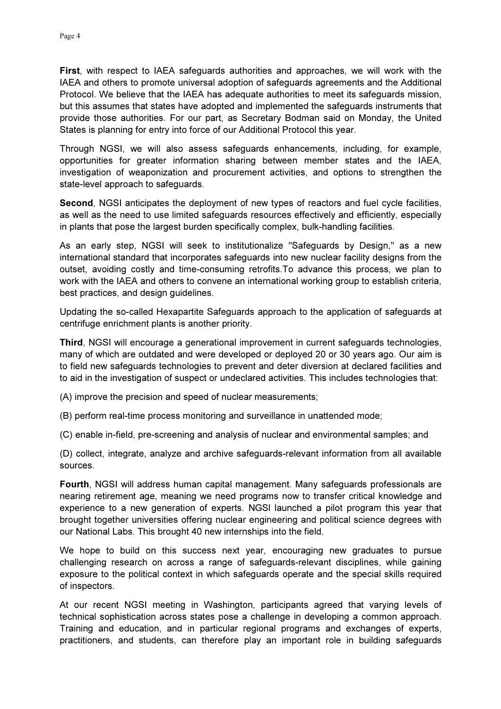First, with respect to IAEA safeguards authorities and approaches, we will work with the IAEA and others to promote universal adoption of safeguards agreements and the Additional Protocol. We believe that the IAEA has adequate authorities to meet its safeguards mission, but this assumes that states have adopted and implemented the safeguards instruments that provide those authorities. For our part, as Secretary Bodman said on Monday, the United States is planning for entry into force of our Additional Protocol this year.

Through NGSI, we will also assess safeguards enhancements, including, for example, opportunities for greater information sharing between member states and the IAEA, investigation of weaponization and procurement activities, and options to strengthen the state-level approach to safeguards.

Second, NGSI anticipates the deployment of new types of reactors and fuel cycle facilities, as well as the need to use limited safeguards resources effectively and efficiently, especially in plants that pose the largest burden specifically complex, bulk-handling facilities.

As an early step, NGSI will seek to institutionalize "Safeguards by Design," as a new international standard that incorporates safeguards into new nuclear facility designs from the outset, avoiding costly and time-consuming retrofits.To advance this process, we plan to work with the IAEA and others to convene an international working group to establish criteria, best practices, and design guidelines.

Updating the so-called Hexapartite Safeguards approach to the application of safeguards at centrifuge enrichment plants is another priority.

Third, NGSI will encourage a generational improvement in current safeguards technologies, many of which are outdated and were developed or deployed 20 or 30 years ago. Our aim is to field new safeguards technologies to prevent and deter diversion at declared facilities and to aid in the investigation of suspect or undeclared activities. This includes technologies that:

(A) improve the precision and speed of nuclear measurements;

(B) perform real-time process monitoring and surveillance in unattended mode;

(C) enable in-field, pre-screening and analysis of nuclear and environmental samples; and

(D) collect, integrate, analyze and archive safeguards-relevant information from all available sources.

Fourth, NGSI will address human capital management. Many safeguards professionals are nearing retirement age, meaning we need programs now to transfer critical knowledge and experience to a new generation of experts. NGSl launched a pilot program this year that brought together universities offering nuclear engineering and political science degrees with our National Labs. This brought 40 new internships into the field.

We hope to build on this success next year, encouraging new graduates to pursue challenging research on across a range of safeguards-relevant disciplines, while gaining exposure to the political context in which safeguards operate and the special skills required of inspectors.

At our recent NGSI meeting in Washington, participants agreed that varying levels of technical sophistication across states pose a challenge in developing a common approach. Training and education, and in particular regional programs and exchanges of experts, practitioners, and students, can therefore play an important role in building safeguards